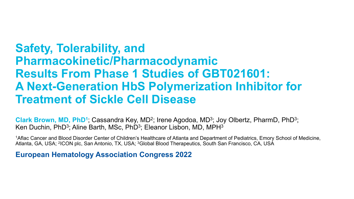# **Safety, Tolerability, and Pharmacokinetic/Pharmacodynamic Results From Phase 1 Studies of GBT021601: A Next-Generation HbS Polymerization Inhibitor for Treatment of Sickle Cell Disease**

**Clark Brown, MD, PhD1**; Cassandra Key, MD2; Irene Agodoa, MD3; Joy Olbertz, PharmD, PhD3; Ken Duchin, PhD<sup>3</sup>; Aline Barth, MSc, PhD<sup>3</sup>; Eleanor Lisbon, MD, MPH<sup>3</sup>

1Aflac Cancer and Blood Disorder Center of Children's Healthcare of Atlanta and Department of Pediatrics, Emory School of Medicine, Atlanta, GA, USA; 2ICON plc, San Antonio, TX, USA; 3Global Blood Therapeutics, South San Francisco, CA, USA

**European Hematology Association Congress 2022**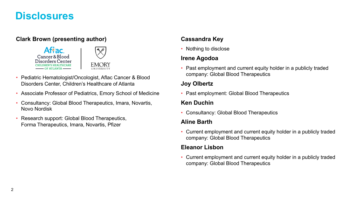### **Disclosures**

### **Clark Brown (presenting author)**





- Pediatric Hematologist/Oncologist, Aflac Cancer & Blood Disorders Center, Children's Healthcare of Atlanta
- Associate Professor of Pediatrics, Emory School of Medicine
- Consultancy: Global Blood Therapeutics, Imara, Novartis, Novo Nordisk
- Research support: Global Blood Therapeutics, Forma Therapeutics, Imara, Novartis, Pfizer

### **Cassandra Key**

• Nothing to disclose

### **Irene Agodoa**

• Past employment and current equity holder in a publicly traded company: Global Blood Therapeutics

#### **Joy Olbertz**

• Past employment: Global Blood Therapeutics

#### **Ken Duchin**

• Consultancy: Global Blood Therapeutics

#### **Aline Barth**

• Current employment and current equity holder in a publicly traded company: Global Blood Therapeutics

#### **Eleanor Lisbon**

• Current employment and current equity holder in a publicly traded company: Global Blood Therapeutics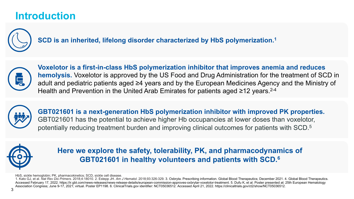## **Introduction**



**SCD is an inherited, lifelong disorder characterized by HbS polymerization.1**



**Voxelotor is a first-in-class HbS polymerization inhibitor that improves anemia and reduces hemolysis.** Voxelotor is approved by the US Food and Drug Administration for the treatment of SCD in adult and pediatric patients aged ≥4 years and by the European Medicines Agency and the Ministry of Health and Prevention in the United Arab Emirates for patients aged ≥12 years.<sup>2-4</sup>



**GBT021601 is a next-generation HbS polymerization inhibitor with improved PK properties.**  GBT021601 has the potential to achieve higher Hb occupancies at lower doses than voxelotor, potentially reducing treatment burden and improving clinical outcomes for patients with SCD.5



**Here we explore the safety, tolerability, PK, and pharmacodynamics of GBT021601 in healthy volunteers and patients with SCD.6**

HbS, sickle hemoglobin; PK, pharmacokinetics; SCD, sickle cell disease.

1. Kato GJ, et al. *Nat Rev Dis Primers*. 2018;4:18010. 2. Estepp JH. *Am J Hematol*. 2018;93:326-329. 3. Oxbryta. Prescribing information. Global Blood Therapeutics; December 2021. 4. Global Blood Therapeutics. Accessed February 17, 2022. https://ir.gbt.com/news-releases/news-release-details/european-commission-approves-oxbrytar-voxelotor-treatment. 5. Dufu K, et al. Poster presented at: 25th European Hematology Association Congress; June 9-17, 2021; virtual. Poster EP1198. 6. ClinicalTrials.gov identifier: NCT05036512. Accessed April 21, 2022. https://clinicaltrials.gov/ct2/show/NCT05036512.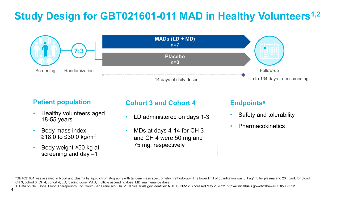# Study Design for GBT021601-011 MAD in Healthy Volunteers<sup>1,2</sup>



### **Patient population**

- Healthy volunteers aged 18-55 years
- Body mass index  $≥18.0$  to ≤30.0 kg/m<sup>2</sup>
- Body weight ≥50 kg at screening and day –1

### **Cohort 3 and Cohort 41**

- LD administered on days 1-3
- MDs at days 4-14 for CH 3 and CH 4 were 50 mg and 75 mg, respectively

### **Endpointsa**

- Safety and tolerability
- **Pharmacokinetics**

<sup>a</sup>GBT021601 was assayed in blood and plasma by liquid chromatography with tandem mass spectrometry methodology. The lower limit of quantitation was 0.1 ng/mL for plasma and 20 ng/mL for blood. CH 3, cohort 3; CH 4, cohort 4; LD, loading dose; MAD, multiple ascending dose; MD, maintenance dose.

1. Data on file. Global Blood Therapeutics, Inc. South San Francisco, CA. 2. ClinicalTrials.gov identifier: NCT05036512. Accessed May 2, 2022. http://clinicaltrials.gov/ct2/show/NCT05036512.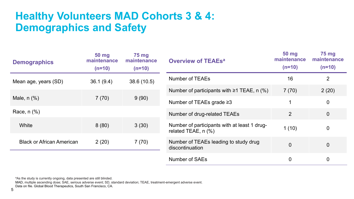## **Healthy Volunteers MAD Cohorts 3 & 4: Demographics and Safety**

| <b>Demographics</b>              | 50 mg<br>maintenance<br>$(n=10)$ | <b>75 mg</b><br>maintenance<br>$(n=10)$ | <b>Overview of TEAEsa</b>                                             | 50 mg<br>maintenance<br>$(n=10)$ | <b>75 mg</b><br>maintenance<br>$(n=10)$ |
|----------------------------------|----------------------------------|-----------------------------------------|-----------------------------------------------------------------------|----------------------------------|-----------------------------------------|
| Mean age, years (SD)             | 36.1(9.4)                        | 38.6 (10.5)                             | <b>Number of TEAEs</b>                                                | 16                               | $\overline{2}$                          |
| Male, $n$ $%$ )                  | 7(70)                            | 9(90)                                   | Number of participants with $\geq 1$ TEAE, n (%)                      | 7(70)                            | 2(20)                                   |
|                                  |                                  |                                         | Number of TEAEs grade $\geq$ 3                                        | 1                                | $\mathbf 0$                             |
| Race, $n$ $%$                    |                                  |                                         | Number of drug-related TEAEs                                          | $\overline{2}$                   | $\overline{0}$                          |
| White                            | 8(80)                            | 3(30)                                   | Number of participants with at least 1 drug-<br>related TEAE, $n$ $%$ | 1(10)                            | $\boldsymbol{0}$                        |
| <b>Black or African American</b> | 2(20)                            | 7(70)                                   | Number of TEAEs leading to study drug<br>discontinuation              | $\overline{0}$                   | $\overline{0}$                          |
|                                  |                                  |                                         | <b>Number of SAEs</b>                                                 | $\overline{0}$                   | $\mathbf 0$                             |

aAs the study is currently ongoing, data presented are still blinded.

MAD, multiple ascending dose; SAE, serious adverse event; SD, standard deviation; TEAE, treatment-emergent adverse event.

Data on file. Global Blood Therapeutics, South San Francisco, CA.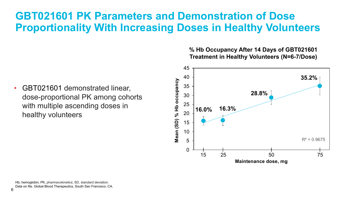## **GBT021601 PK Parameters and Demonstration of Dose Proportionality With Increasing Doses in Healthy Volunteers**

• GBT021601 demonstrated linear, dose-proportional PK among cohorts with multiple ascending doses in healthy volunteers

#### **% Hb Occupancy After 14 Days of GBT021601 Treatment in Healthy Volunteers (N=6-7/Dose)**



Hb, hemoglobin; PK, pharmacokinetics; SD, standard deviation. Data on file. Global Blood Therapeutics, South San Francisco, CA.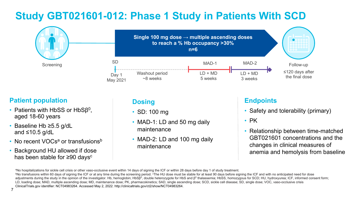# **Study GBT021601-012: Phase 1 Study in Patients With SCD**



### **Patient population**

- Patients with HbSS or HbSβ<sup>0</sup>, aged 18-60 years
- Baseline Hb ≥5.5 g/dL and  $\leq 10.5$  g/dL
- No recent VOCs<sup>a</sup> or transfusions<sup>b</sup>
- Background HU allowed if dose has been stable for ≥90 days<sup>c</sup>

### **Dosing**

- SD: 100 mg
- MAD-1: LD and 50 mg daily maintenance
- MAD-2: LD and 100 mg daily maintenance

### **Endpoints**

- Safety and tolerability (primary)
- PK
- Relationship between time-matched GBT021601 concentrations and the changes in clinical measures of anemia and hemolysis from baseline

<sup>a</sup>No hospitalizations for sickle cell crisis or other vaso-occlusive event within 14 days of signing the ICF or within 28 days before day 1 of study treatment.<br><sup>b</sup>No transfusions within 60 days of signing the ICF or at an adjustments during the study in the opinion of the investigator. Hb, hemoglobin; HbSβ<sup>0</sup>, double heterozygote for HbS and β<sup>0</sup> thalassemia; HbSS, homozygous for SCD; HU, hydroxyurea; ICF, informed consent form; LD, loading dose; MAD, multiple ascending dose; MD, maintenance dose; PK, pharmacokinetics; SAD, single ascending dose; SCD, sickle cell disease; SD, single dose; VOC, vaso-occlusive crisis ClinicalTrials.gov identifier: NCT04983264. Accessed May 2, 2022. http://clinicaltrials.gov/ct2/show/NCT04983264.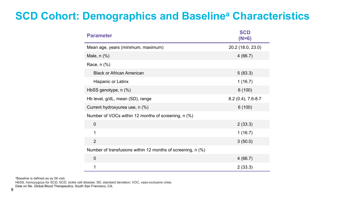# **SCD Cohort: Demographics and Baselinea Characteristics**

| <b>Parameter</b>                                            | <b>SCD</b><br>$(N=6)$ |
|-------------------------------------------------------------|-----------------------|
| Mean age, years (minimum, maximum)                          | 20.2 (18.0, 23.0)     |
| Male, $n$ $%$                                               | 4(66.7)               |
| Race, n (%)                                                 |                       |
| <b>Black or African American</b>                            | 5(83.3)               |
| Hispanic or Latinx                                          | 1(16.7)               |
| HbSS genotype, n (%)                                        | 6(100)                |
| Hb level, g/dL, mean (SD), range                            | 8.2 (0.4), 7.6-8.7    |
| Current hydroxyurea use, n (%)                              | 6(100)                |
| Number of VOCs within 12 months of screening, n (%)         |                       |
| $\overline{0}$                                              | 2(33.3)               |
| 1                                                           | 1(16.7)               |
| $\overline{2}$                                              | 3(50.0)               |
| Number of transfusions within 12 months of screening, n (%) |                       |
| $\overline{0}$                                              | 4(66.7)               |
| 1                                                           | 2(33.3)               |

aBaseline is defined as ay 56 visit.

HbSS, homozygous for SCD; SCD, sickle cell disease; SD, standard deviation; VOC, vaso-occlusive crisis.

Data on file. Global Blood Therapeutics, South San Francisco, CA.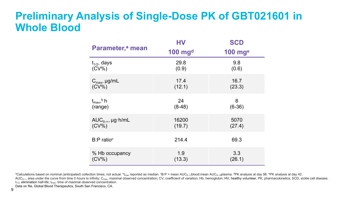### **Preliminary Analysis of Single-Dose PK of GBT021601 in Whole Blood**

| Parameter, <sup>a</sup> mean    | HV<br>$100$ mg <sup>d</sup> | <b>SCD</b><br>$100$ mge |
|---------------------------------|-----------------------------|-------------------------|
| $t_{1/2}$ , days                | 29.8                        | 9.8                     |
| $(CV\%)$                        | (0.9)                       | (0.6)                   |
| $C_{\text{max}}$ , µg/mL        | 17.4                        | 16.7                    |
| $(CV\%)$                        | (12.1)                      | (23.3)                  |
| $t_{\rm max}$ , $\frac{b}{n}$ h | 24                          | 8                       |
| (range)                         | $(8-48)$                    | $(6-36)$                |
| $AUC_{0-\infty}$ , µg · h/mL    | 16200                       | 5070                    |
| $(CV\%)$                        | (19.7)                      | (27.4)                  |
| $B: P$ ratio <sup>c</sup>       | 214.4                       | 69.3                    |
| % Hb occupancy                  | 1.9                         | 3.3                     |
| $(CV\%)$                        | (13.3)                      | (26.1)                  |

ªCalculations based on nominal (anticipated) collection times, not actual. <sup>b</sup>t<sub>max</sub> reported as median. ºB:P = mean AUC<sub>0-∞</sub>-blood:mean AUC<sub>0-∞</sub>-plasma. <sup>d</sup>PK analysis at day 98. <sup>e</sup>PK analysis at day 98. <sup>e</sup>PK analysis

AUC<sub>0-∞</sub>, area under the curve from time 0 hours to infinity; C<sub>max</sub>, maximal observed concentration; CV, coefficient of variation; Hb, hemoglobin; HV, healthy volunteer, PK, pharmacokinetics; SCD, sickle cell disease;  $t_{1/2}$ , elimination half-life;  $t_{max}$ , time of maximal observed concentration.

Data on file, Global Blood Therapeutics, South San Francisco, CA.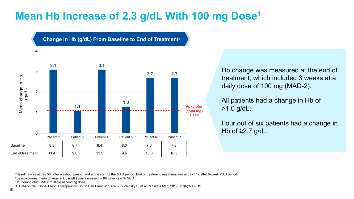# **Mean Hb Increase of 2.3 g/dL With 100 mg Dose1**



Hb change was measured at the end of treatment, which included 3 weeks at a daily dose of 100 mg (MAD-2).

All patients had a change in Hb of >1.0 g/dL.

Four out of six patients had a change in Hb of  $≥2.7$  g/dL.

<sup>a</sup>Baseline was at day 56, after washout period, and at the start of the MAD period. End of treatment was measured at day 112 after 8-week MAD period.<br><sup>b</sup>Least-squares mean change in Hb (g/dL) was assessed in 88 patients

Hb, hemoglobin; MAD, multiple ascending dose.

1. Data on file. Global Blood Therapeutics, South San Francisco, CA. 2. Vichinsky E, et al. *N Engl J Med.* 2019;381(6):509-519.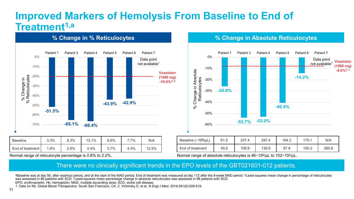### **Improved Markers of Hemolysis From Baseline to End of Treatment1,a**

Patient 1 Patient 3 Patient 4 Patient 5 Patient 6 Patient 7 0% Data point not available<sup>1</sup> -10% **Voxelotor** % Change in<br>6 Reticulocytes % Reticulocytes -20% **(1500 mg)** % Change in **-19.9%2, b** -30% -40%  $\approx$ **-43.9% -42.9%** -50% **-51.5%** -60% **-65.1% -66.4%** -70% Baseline | 3.3% | 8.3% | 13.1% | 6.6% | 7.7% | N/A

**% Change in % Reticulocytes % Change in Absolute Reticulocytes**



| Baseline $(\times 10^6/\mu L)$ | 61.5 | 237.4 | 297.4 | 164.2 | 175.1 | N/A   |
|--------------------------------|------|-------|-------|-------|-------|-------|
| End of treatment               | 45.6 | 109.9 | 139.9 | 97.8  | 150.3 | 385.8 |

Normal range of reticulocyte percentage is 0.8% to 2.2%. Normal range of absolute reticulocytes is 46×10<sup>6</sup>/µL to 102×10<sup>6</sup>/µL.

#### There were no clinically significant trends in the EPO levels of the GBT021601-012 patients.

aBaseline was at day 56, after washout period, and at the start of the MAD period. End of treatment was measured at day 112 after the 8-week MAD period. **bLeast-squares mean change in percentage of reticulocytes** was assessed in 88 patients with SCD. <sup>c</sup>Least-squares mean percentage change in absolute reticulocytes was assessed in 88 patients with SCD. EPO, erythropoietin; Hb, hemoglobin; MAD, multiple ascending dose; SCD, sickle cell disease.

End of treatment | 1.6% | 2.9% | 4.4% | 3.7% | 4.4% | 12.5%

1. Data on file. Global Blood Therapeutics, South San Francisco, CA. 2. Vichinsky E, et al. *N Engl J Med.* 2019;381(6):509-519.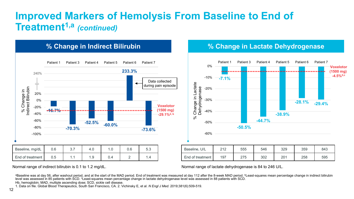### **Improved Markers of Hemolysis From Baseline to End of Treatment1,a** *(continued)*





Normal range of indirect bilirubin is 0.1 to 1.2 mg/dL. Normal range of lactate dehydrogenase is 84 to 246 U/L.

aBaseline was at day 56, after washout period, and at the start of the MAD period. End of treatment was measured at day 112 after the 8-week MAD period. **bLeast-squares mean percentage change in indirect bilirubin** level was assessed in 85 patients with SCD. <sup>c</sup>Least-squares mean percentage change in lactate dehydrogenase level was assessed in 88 patients with SCD.

Hb, hemoglobin; MAD, multiple ascending dose; SCD, sickle cell disease.

1. Data on file. Global Blood Therapeutics, South San Francisco, CA. 2. Vichinsky E, et al. *N Engl J Med.* 2019;381(6):509-519.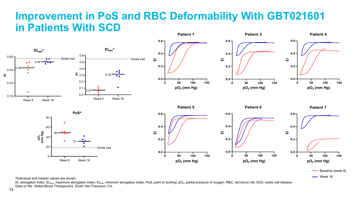#### **Improvement in PoS and RBC Deformability With GBT021601 in Patients With SCD Patient 1 Patient 3 Patient 4**



aIndividual and median values are shown.

EI, elongation index; EI<sub>max</sub>, maximum elongation index; EI<sub>min</sub>, minimum elongation index; PoS, point of sickling; pO<sub>2</sub>, partial pressure of oxygen; RBC, red blood cell; SCD, sickle cell disease. Data on file. Global Blood Therapeutics. South San Francisco, CA.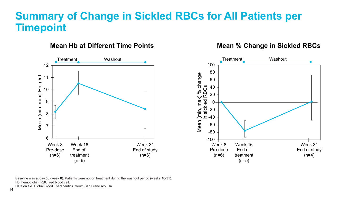### **Summary of Change in Sickled RBCs for All Patients per Timepoint**

#### **Mean Hb at Different Time Points**



Baseline was at day 56 (week 8). Patients were not on treatment during the washout period (weeks 16-31). Hb, hemoglobin; RBC, red blood cell.

Data on file. Global Blood Therapeutics. South San Francisco, CA.

**Mean % Change in Sickled RBCs**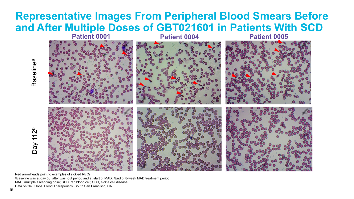### **Representative Images From Peripheral Blood Smears Before and After Multiple Doses of GBT021601 in Patients With SCD**



Red arrowheads point to examples of sickled RBCs. aBaseline was at day 56, after washout period and at start of MAD. **bEnd of 8-week MAD treatment period.** MAD, multiple ascending dose; RBC, red blood cell; SCD, sickle cell disease.

Day 112 b

a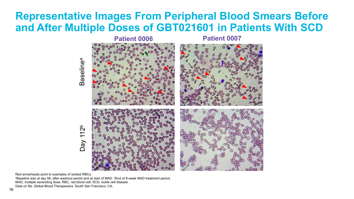## **Representative Images From Peripheral Blood Smears Before and After Multiple Doses of GBT021601 in Patients With SCD**



Red arrowheads point to examples of sickled RBCs.

aBaseline was at day 56, after washout period and at start of MAD. **bEnd of 8-week MAD treatment period.** MAD, multiple ascending dose; RBC, red blood cell; SCD, sickle cell disease.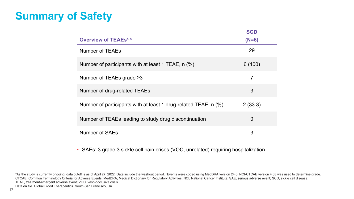# **Summary of Safety**

|                                                                 | <b>SCD</b>     |
|-----------------------------------------------------------------|----------------|
| <b>Overview of TEAEsa,b</b>                                     | $(N=6)$        |
| Number of TEAEs                                                 | 29             |
| Number of participants with at least 1 TEAE, n (%)              | 6(100)         |
| Number of TEAEs grade $\geq$ 3                                  | $\overline{7}$ |
| Number of drug-related TEAEs                                    | 3              |
| Number of participants with at least 1 drug-related TEAE, n (%) | 2(33.3)        |
| Number of TEAEs leading to study drug discontinuation           | $\overline{0}$ |
| Number of SAEs                                                  | 3              |

• SAEs: 3 grade 3 sickle cell pain crises (VOC, unrelated) requiring hospitalization

aAs the study is currently ongoing, data cutoff is as of April 27, 2022. Data include the washout period. *bEvents were coded using MedDRA version 24.0; NCI-CTCAE version 4.03 was used to determine grade.* CTCAE, Common Terminology Criteria for Adverse Events; MedDRA, Medical Dictionary for Regulatory Activities; NCI, National Cancer Institute; SAE, serious adverse event; SCD, sickle cell disease; TEAE, treatment-emergent adverse event; VOC, vaso-occlusive crisis.

Data on file. Global Blood Therapeutics. South San Francisco, CA.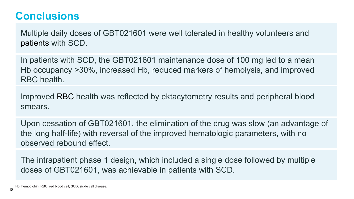## **Conclusions**

Multiple daily doses of GBT021601 were well tolerated in healthy volunteers and patients with SCD.

In patients with SCD, the GBT021601 maintenance dose of 100 mg led to a mean Hb occupancy >30%, increased Hb, reduced markers of hemolysis, and improved RBC health.

Improved RBC health was reflected by ektacytometry results and peripheral blood smears.

Upon cessation of GBT021601, the elimination of the drug was slow (an advantage of the long half-life) with reversal of the improved hematologic parameters, with no observed rebound effect.

The intrapatient phase 1 design, which included a single dose followed by multiple doses of GBT021601, was achievable in patients with SCD.